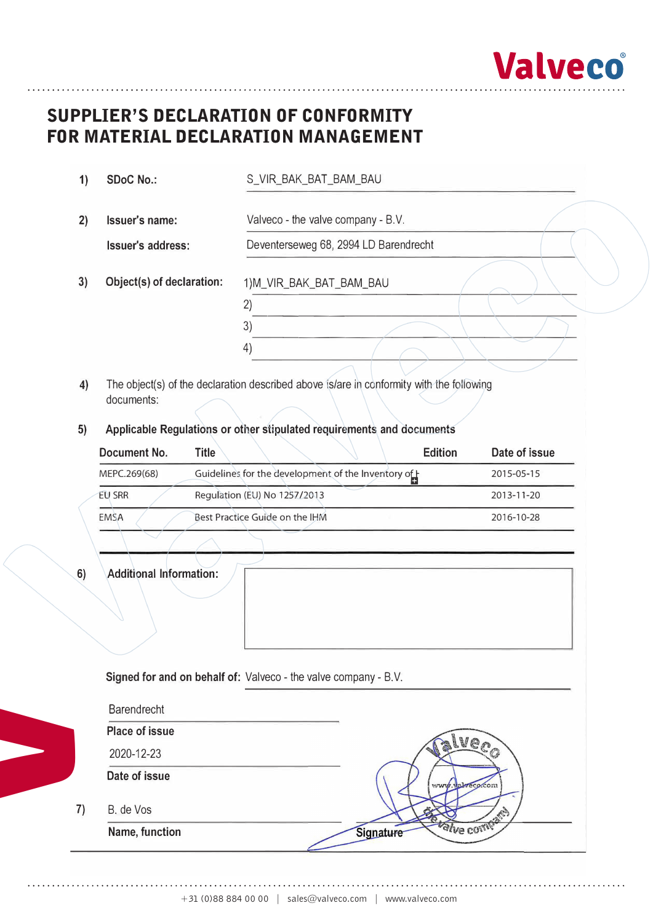

# **Supplier's Declaration of Conformity**  SUPPLIER'S DECLARATION OF CONFORMITY **for Material Declaration Management**  FOR MATERIAL DECLARATION MANAGEMENT

| 1) | <b>SDoC No.:</b>          | S_VIR_BAK_BAT_BAM_BAU                 |
|----|---------------------------|---------------------------------------|
| 2) | Issuer's name:            | Valveco - the valve company - B.V.    |
|    | Issuer's address:         | Deventerseweg 68, 2994 LD Barendrecht |
| 3) | Object(s) of declaration: | 1)M_VIR_BAK_BAT_BAM_BAU               |
|    |                           | 2)                                    |
|    |                           | 3)                                    |
|    |                           | 4)                                    |
|    |                           |                                       |

- **4)** The object(s) of the declaration described above is/are in conformity with the following documents:
- **5) Applicable Regulations or other stipulated requirements and documents**

| Document No.  | <b>Edition</b><br><b>Title</b>                     | Date of issue |
|---------------|----------------------------------------------------|---------------|
| MEPC.269(68)  | Guidelines for the development of the Inventory of | 2015-05-15    |
| <b>EU SRR</b> | Regulation (EU) No 1257/2013                       | 2013-11-20    |
| EMSA          | Best Practice Guide on the IHM                     | 2016-10-28    |

6) Additional Information:

**V**

| Barendrecht                 |                        |
|-----------------------------|------------------------|
| <b>Place of issue</b>       |                        |
| 2020-12-23                  |                        |
| Date of issue               | www.valeco.com         |
|                             |                        |
| B. de Vos<br>Name, function | alve come<br>Signature |